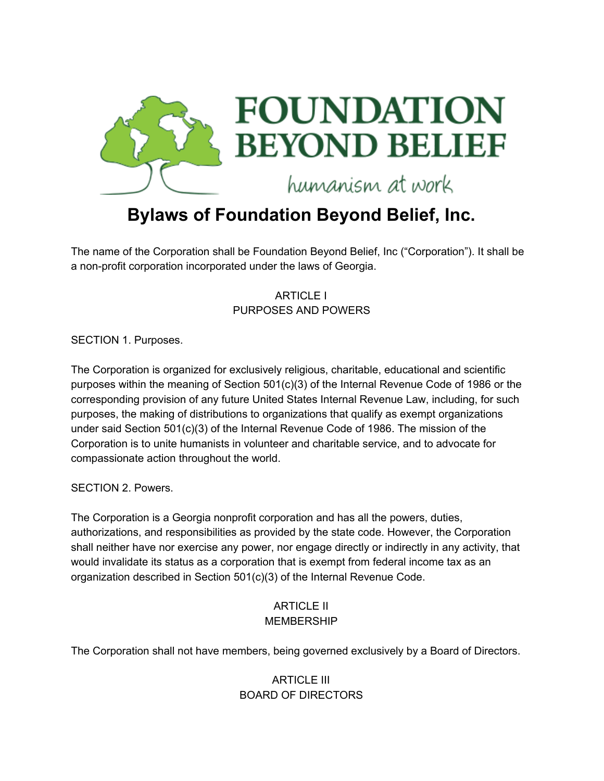

# **Bylaws of Foundation Beyond Belief, Inc.**

The name of the Corporation shall be Foundation Beyond Belief, Inc ("Corporation"). It shall be a non-profit corporation incorporated under the laws of Georgia.

> ARTICLE I PURPOSES AND POWERS

SECTION 1. Purposes.

The Corporation is organized for exclusively religious, charitable, educational and scientific purposes within the meaning of Section 501(c)(3) of the Internal Revenue Code of 1986 or the corresponding provision of any future United States Internal Revenue Law, including, for such purposes, the making of distributions to organizations that qualify as exempt organizations under said Section 501(c)(3) of the Internal Revenue Code of 1986. The mission of the Corporation is to unite humanists in volunteer and charitable service, and to advocate for compassionate action throughout the world.

SECTION 2. Powers.

The Corporation is a Georgia nonprofit corporation and has all the powers, duties, authorizations, and responsibilities as provided by the state code. However, the Corporation shall neither have nor exercise any power, nor engage directly or indirectly in any activity, that would invalidate its status as a corporation that is exempt from federal income tax as an organization described in Section 501(c)(3) of the Internal Revenue Code.

#### ARTICLE II MEMBERSHIP

The Corporation shall not have members, being governed exclusively by a Board of Directors.

# ARTICLE III BOARD OF DIRECTORS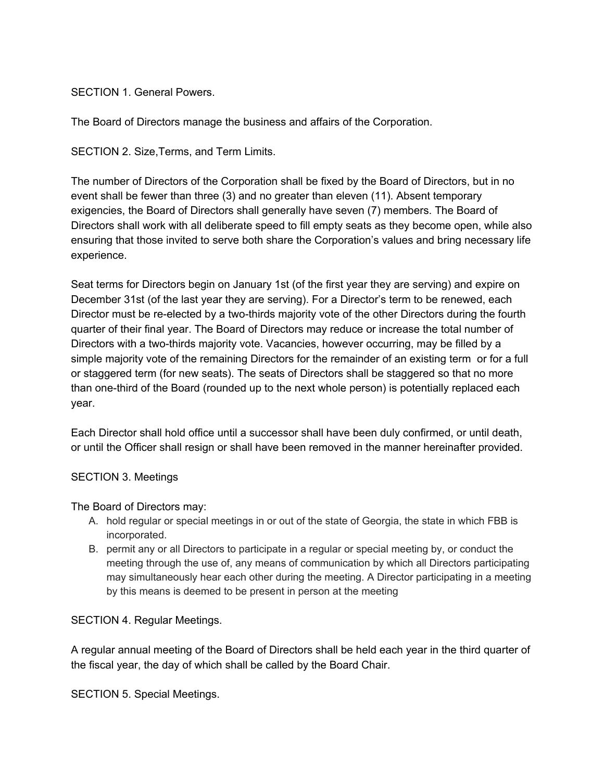SECTION 1. General Powers.

The Board of Directors manage the business and affairs of the Corporation.

SECTION 2. Size,Terms, and Term Limits.

The number of Directors of the Corporation shall be fixed by the Board of Directors, but in no event shall be fewer than three (3) and no greater than eleven (11). Absent temporary exigencies, the Board of Directors shall generally have seven (7) members. The Board of Directors shall work with all deliberate speed to fill empty seats as they become open, while also ensuring that those invited to serve both share the Corporation's values and bring necessary life experience.

Seat terms for Directors begin on January 1st (of the first year they are serving) and expire on December 31st (of the last year they are serving). For a Director's term to be renewed, each Director must be re-elected by a two-thirds majority vote of the other Directors during the fourth quarter of their final year. The Board of Directors may reduce or increase the total number of Directors with a two-thirds majority vote. Vacancies, however occurring, may be filled by a simple majority vote of the remaining Directors for the remainder of an existing term or for a full or staggered term (for new seats). The seats of Directors shall be staggered so that no more than one-third of the Board (rounded up to the next whole person) is potentially replaced each year.

Each Director shall hold office until a successor shall have been duly confirmed, or until death, or until the Officer shall resign or shall have been removed in the manner hereinafter provided.

#### SECTION 3. Meetings

The Board of Directors may:

- A. hold regular or special meetings in or out of the state of Georgia, the state in which FBB is incorporated.
- B. permit any or all Directors to participate in a regular or special meeting by, or conduct the meeting through the use of, any means of communication by which all Directors participating may simultaneously hear each other during the meeting. A Director participating in a meeting by this means is deemed to be present in person at the meeting

SECTION 4. Regular Meetings.

A regular annual meeting of the Board of Directors shall be held each year in the third quarter of the fiscal year, the day of which shall be called by the Board Chair.

SECTION 5. Special Meetings.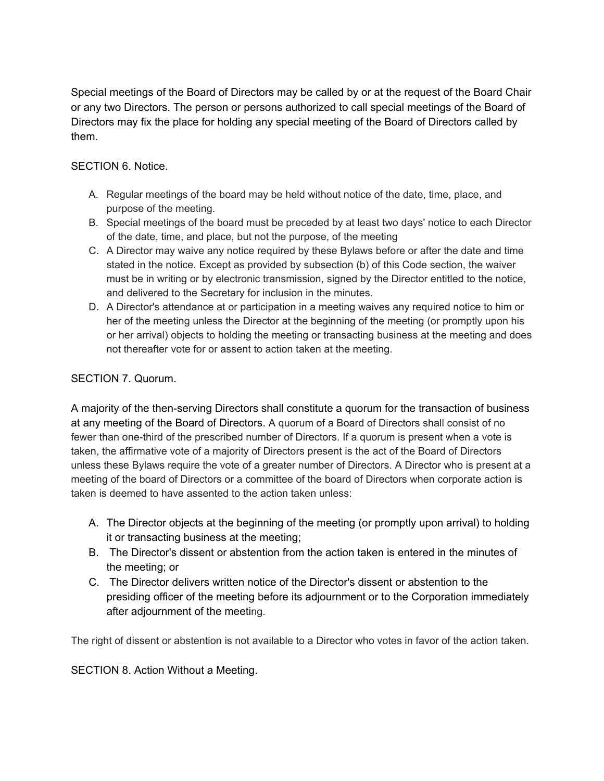Special meetings of the Board of Directors may be called by or at the request of the Board Chair or any two Directors. The person or persons authorized to call special meetings of the Board of Directors may fix the place for holding any special meeting of the Board of Directors called by them.

SECTION 6. Notice.

- A. Regular meetings of the board may be held without notice of the date, time, place, and purpose of the meeting.
- B. Special meetings of the board must be preceded by at least two days' notice to each Director of the date, time, and place, but not the purpose, of the meeting
- C. A Director may waive any notice required by these Bylaws before or after the date and time stated in the notice. Except as provided by subsection (b) of this Code section, the waiver must be in writing or by electronic transmission, signed by the Director entitled to the notice, and delivered to the Secretary for inclusion in the minutes.
- D. A Director's attendance at or participation in a meeting waives any required notice to him or her of the meeting unless the Director at the beginning of the meeting (or promptly upon his or her arrival) objects to holding the meeting or transacting business at the meeting and does not thereafter vote for or assent to action taken at the meeting.

# SECTION 7. Quorum.

A majority of the then-serving Directors shall constitute a quorum for the transaction of business at any meeting of the Board of Directors. A quorum of a Board of Directors shall consist of no fewer than one-third of the prescribed number of Directors. If a quorum is present when a vote is taken, the affirmative vote of a majority of Directors present is the act of the Board of Directors unless these Bylaws require the vote of a greater number of Directors. A Director who is present at a meeting of the board of Directors or a committee of the board of Directors when corporate action is taken is deemed to have assented to the action taken unless:

- A. The Director objects at the beginning of the meeting (or promptly upon arrival) to holding it or transacting business at the meeting;
- B. The Director's dissent or abstention from the action taken is entered in the minutes of the meeting; or
- C. The Director delivers written notice of the Director's dissent or abstention to the presiding officer of the meeting before its adjournment or to the Corporation immediately after adjournment of the meeting.

The right of dissent or abstention is not available to a Director who votes in favor of the action taken.

SECTION 8. Action Without a Meeting.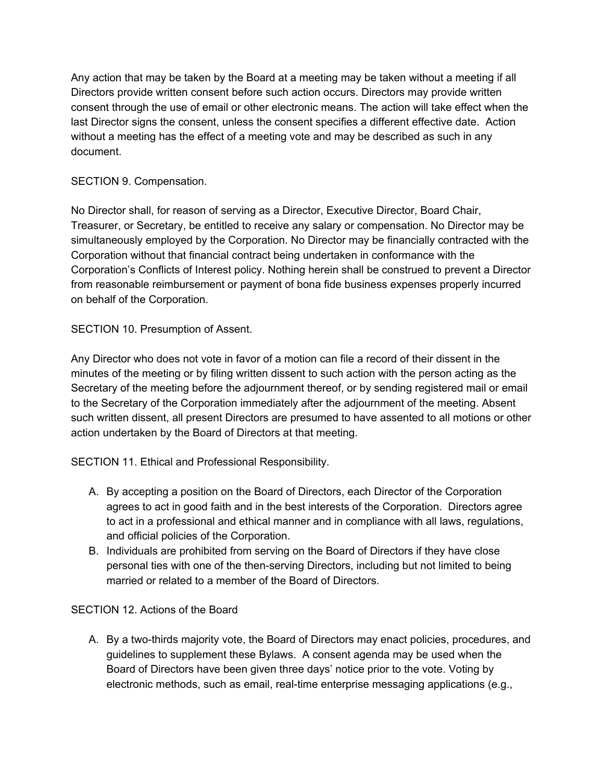Any action that may be taken by the Board at a meeting may be taken without a meeting if all Directors provide written consent before such action occurs. Directors may provide written consent through the use of email or other electronic means. The action will take effect when the last Director signs the consent, unless the consent specifies a different effective date. Action without a meeting has the effect of a meeting vote and may be described as such in any document.

# SECTION 9. Compensation.

No Director shall, for reason of serving as a Director, Executive Director, Board Chair, Treasurer, or Secretary, be entitled to receive any salary or compensation. No Director may be simultaneously employed by the Corporation. No Director may be financially contracted with the Corporation without that financial contract being undertaken in conformance with the Corporation's Conflicts of Interest policy. Nothing herein shall be construed to prevent a Director from reasonable reimbursement or payment of bona fide business expenses properly incurred on behalf of the Corporation.

# SECTION 10. Presumption of Assent.

Any Director who does not vote in favor of a motion can file a record of their dissent in the minutes of the meeting or by filing written dissent to such action with the person acting as the Secretary of the meeting before the adjournment thereof, or by sending registered mail or email to the Secretary of the Corporation immediately after the adjournment of the meeting. Absent such written dissent, all present Directors are presumed to have assented to all motions or other action undertaken by the Board of Directors at that meeting.

SECTION 11. Ethical and Professional Responsibility.

- A. By accepting a position on the Board of Directors, each Director of the Corporation agrees to act in good faith and in the best interests of the Corporation. Directors agree to act in a professional and ethical manner and in compliance with all laws, regulations, and official policies of the Corporation.
- B. Individuals are prohibited from serving on the Board of Directors if they have close personal ties with one of the then-serving Directors, including but not limited to being married or related to a member of the Board of Directors.

# SECTION 12. Actions of the Board

A. By a two-thirds majority vote, the Board of Directors may enact policies, procedures, and guidelines to supplement these Bylaws. A consent agenda may be used when the Board of Directors have been given three days' notice prior to the vote. Voting by electronic methods, such as email, real-time enterprise messaging applications (e.g.,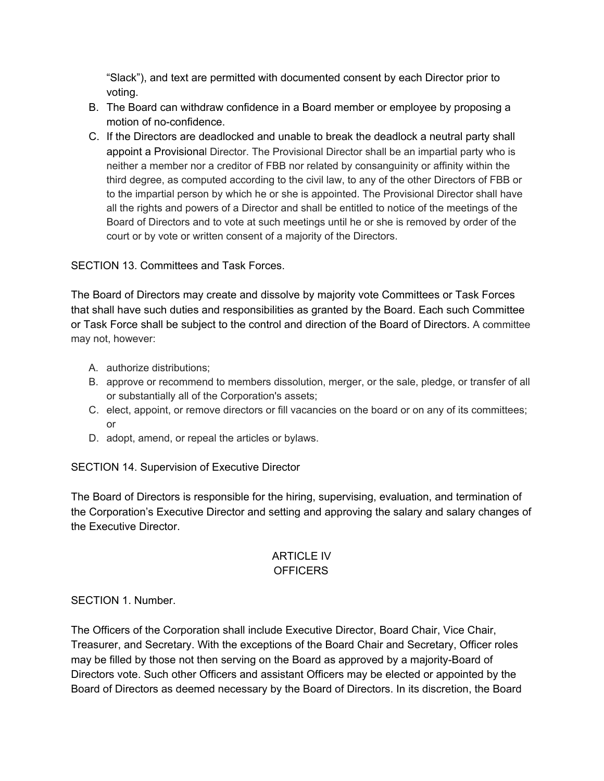"Slack"), and text are permitted with documented consent by each Director prior to voting.

- B. The Board can withdraw confidence in a Board member or employee by proposing a motion of no-confidence.
- C. If the Directors are deadlocked and unable to break the deadlock a neutral party shall appoint a Provisional Director. The Provisional Director shall be an impartial party who is neither a member nor a creditor of FBB nor related by consanguinity or affinity within the third degree, as computed according to the civil law, to any of the other Directors of FBB or to the impartial person by which he or she is appointed. The Provisional Director shall have all the rights and powers of a Director and shall be entitled to notice of the meetings of the Board of Directors and to vote at such meetings until he or she is removed by order of the court or by vote or written consent of a majority of the Directors.

# SECTION 13. Committees and Task Forces.

The Board of Directors may create and dissolve by majority vote Committees or Task Forces that shall have such duties and responsibilities as granted by the Board. Each such Committee or Task Force shall be subject to the control and direction of the Board of Directors. A committee may not, however:

- A. authorize distributions;
- B. approve or recommend to members dissolution, merger, or the sale, pledge, or transfer of all or substantially all of the Corporation's assets;
- C. elect, appoint, or remove directors or fill vacancies on the board or on any of its committees; or
- D. adopt, amend, or repeal the articles or bylaws.

SECTION 14. Supervision of Executive Director

The Board of Directors is responsible for the hiring, supervising, evaluation, and termination of the Corporation's Executive Director and setting and approving the salary and salary changes of the Executive Director.

# ARTICLE IV **OFFICERS**

# SECTION 1. Number.

The Officers of the Corporation shall include Executive Director, Board Chair, Vice Chair, Treasurer, and Secretary. With the exceptions of the Board Chair and Secretary, Officer roles may be filled by those not then serving on the Board as approved by a majority-Board of Directors vote. Such other Officers and assistant Officers may be elected or appointed by the Board of Directors as deemed necessary by the Board of Directors. In its discretion, the Board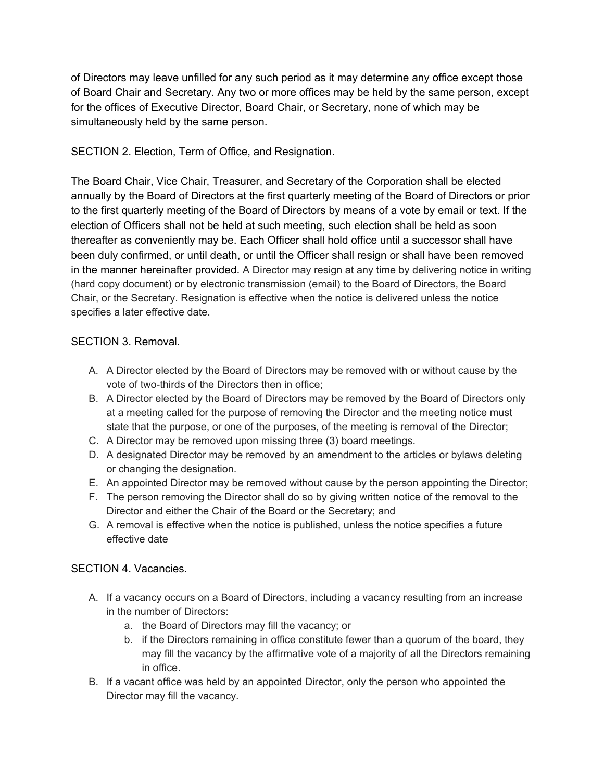of Directors may leave unfilled for any such period as it may determine any office except those of Board Chair and Secretary. Any two or more offices may be held by the same person, except for the offices of Executive Director, Board Chair, or Secretary, none of which may be simultaneously held by the same person.

SECTION 2. Election, Term of Office, and Resignation.

The Board Chair, Vice Chair, Treasurer, and Secretary of the Corporation shall be elected annually by the Board of Directors at the first quarterly meeting of the Board of Directors or prior to the first quarterly meeting of the Board of Directors by means of a vote by email or text. If the election of Officers shall not be held at such meeting, such election shall be held as soon thereafter as conveniently may be. Each Officer shall hold office until a successor shall have been duly confirmed, or until death, or until the Officer shall resign or shall have been removed in the manner hereinafter provided. A Director may resign at any time by delivering notice in writing (hard copy document) or by electronic transmission (email) to the Board of Directors, the Board Chair, or the Secretary. Resignation is effective when the notice is delivered unless the notice specifies a later effective date.

# SECTION 3. Removal.

- A. A Director elected by the Board of Directors may be removed with or without cause by the vote of two-thirds of the Directors then in office;
- B. A Director elected by the Board of Directors may be removed by the Board of Directors only at a meeting called for the purpose of removing the Director and the meeting notice must state that the purpose, or one of the purposes, of the meeting is removal of the Director;
- C. A Director may be removed upon missing three (3) board meetings.
- D. A designated Director may be removed by an amendment to the articles or bylaws deleting or changing the designation.
- E. An appointed Director may be removed without cause by the person appointing the Director;
- F. The person removing the Director shall do so by giving written notice of the removal to the Director and either the Chair of the Board or the Secretary; and
- G. A removal is effective when the notice is published, unless the notice specifies a future effective date

#### SECTION 4. Vacancies.

- A. If a vacancy occurs on a Board of Directors, including a vacancy resulting from an increase in the number of Directors:
	- a. the Board of Directors may fill the vacancy; or
	- b. if the Directors remaining in office constitute fewer than a quorum of the board, they may fill the vacancy by the affirmative vote of a majority of all the Directors remaining in office.
- B. If a vacant office was held by an appointed Director, only the person who appointed the Director may fill the vacancy.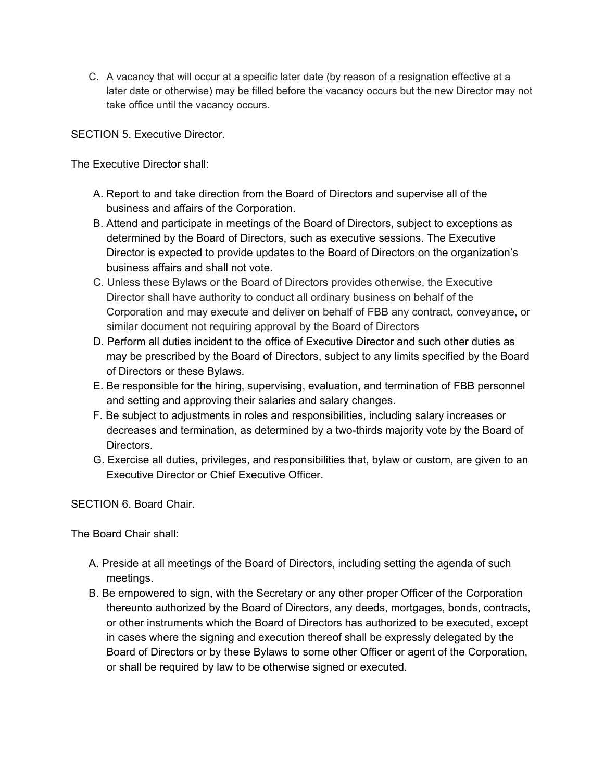C. A vacancy that will occur at a specific later date (by reason of a resignation effective at a later date or otherwise) may be filled before the vacancy occurs but the new Director may not take office until the vacancy occurs.

SECTION 5. Executive Director.

The Executive Director shall:

- A. Report to and take direction from the Board of Directors and supervise all of the business and affairs of the Corporation.
- B. Attend and participate in meetings of the Board of Directors, subject to exceptions as determined by the Board of Directors, such as executive sessions. The Executive Director is expected to provide updates to the Board of Directors on the organization's business affairs and shall not vote.
- C. Unless these Bylaws or the Board of Directors provides otherwise, the Executive Director shall have authority to conduct all ordinary business on behalf of the Corporation and may execute and deliver on behalf of FBB any contract, conveyance, or similar document not requiring approval by the Board of Directors
- D. Perform all duties incident to the office of Executive Director and such other duties as may be prescribed by the Board of Directors, subject to any limits specified by the Board of Directors or these Bylaws.
- E. Be responsible for the hiring, supervising, evaluation, and termination of FBB personnel and setting and approving their salaries and salary changes.
- F. Be subject to adjustments in roles and responsibilities, including salary increases or decreases and termination, as determined by a two-thirds majority vote by the Board of Directors.
- G. Exercise all duties, privileges, and responsibilities that, bylaw or custom, are given to an Executive Director or Chief Executive Officer.

SECTION 6. Board Chair.

The Board Chair shall:

- A. Preside at all meetings of the Board of Directors, including setting the agenda of such meetings.
- B. Be empowered to sign, with the Secretary or any other proper Officer of the Corporation thereunto authorized by the Board of Directors, any deeds, mortgages, bonds, contracts, or other instruments which the Board of Directors has authorized to be executed, except in cases where the signing and execution thereof shall be expressly delegated by the Board of Directors or by these Bylaws to some other Officer or agent of the Corporation, or shall be required by law to be otherwise signed or executed.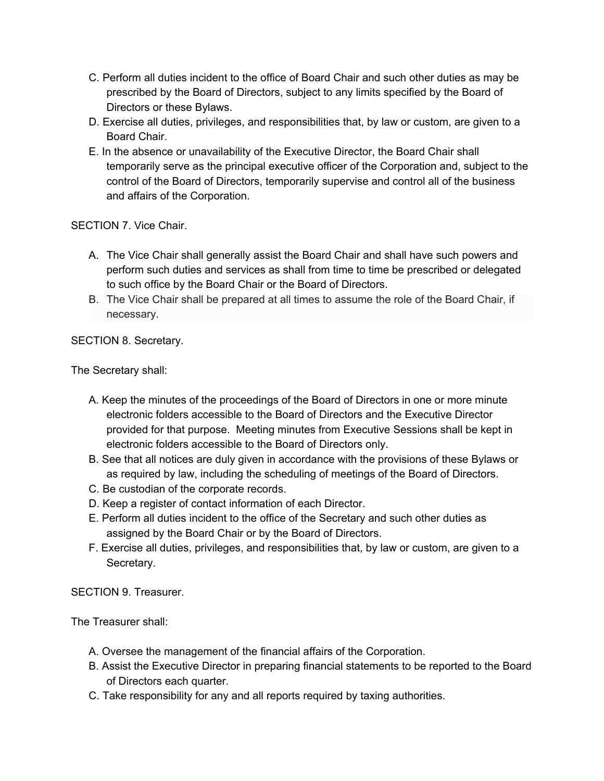- C. Perform all duties incident to the office of Board Chair and such other duties as may be prescribed by the Board of Directors, subject to any limits specified by the Board of Directors or these Bylaws.
- D. Exercise all duties, privileges, and responsibilities that, by law or custom, are given to a Board Chair.
- E. In the absence or unavailability of the Executive Director, the Board Chair shall temporarily serve as the principal executive officer of the Corporation and, subject to the control of the Board of Directors, temporarily supervise and control all of the business and affairs of the Corporation.

SECTION 7. Vice Chair.

- A. The Vice Chair shall generally assist the Board Chair and shall have such powers and perform such duties and services as shall from time to time be prescribed or delegated to such office by the Board Chair or the Board of Directors.
- B. The Vice Chair shall be prepared at all times to assume the role of the Board Chair, if necessary.

SECTION 8. Secretary.

The Secretary shall:

- A. Keep the minutes of the proceedings of the Board of Directors in one or more minute electronic folders accessible to the Board of Directors and the Executive Director provided for that purpose. Meeting minutes from Executive Sessions shall be kept in electronic folders accessible to the Board of Directors only.
- B. See that all notices are duly given in accordance with the provisions of these Bylaws or as required by law, including the scheduling of meetings of the Board of Directors.
- C. Be custodian of the corporate records.
- D. Keep a register of contact information of each Director.
- E. Perform all duties incident to the office of the Secretary and such other duties as assigned by the Board Chair or by the Board of Directors.
- F. Exercise all duties, privileges, and responsibilities that, by law or custom, are given to a Secretary.

SECTION 9. Treasurer.

The Treasurer shall:

- A. Oversee the management of the financial affairs of the Corporation.
- B. Assist the Executive Director in preparing financial statements to be reported to the Board of Directors each quarter.
- C. Take responsibility for any and all reports required by taxing authorities.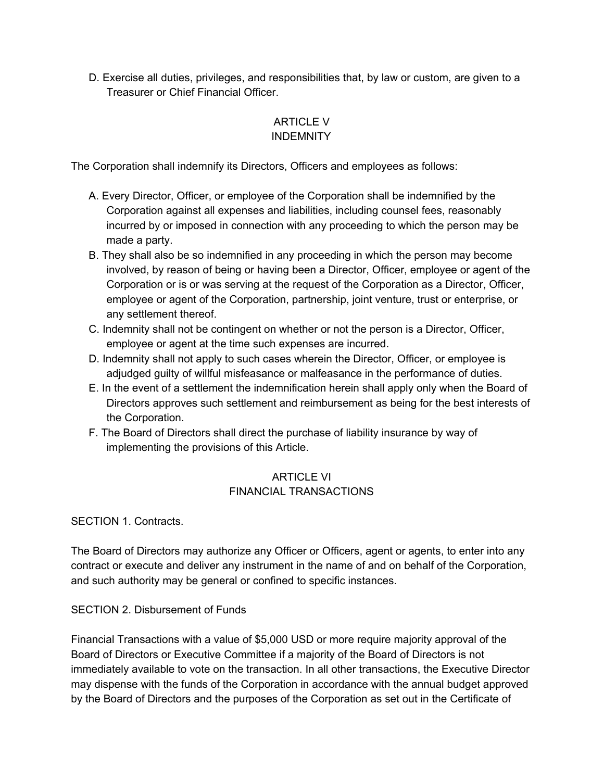D. Exercise all duties, privileges, and responsibilities that, by law or custom, are given to a Treasurer or Chief Financial Officer.

# ARTICLE V INDEMNITY

The Corporation shall indemnify its Directors, Officers and employees as follows:

- A. Every Director, Officer, or employee of the Corporation shall be indemnified by the Corporation against all expenses and liabilities, including counsel fees, reasonably incurred by or imposed in connection with any proceeding to which the person may be made a party.
- B. They shall also be so indemnified in any proceeding in which the person may become involved, by reason of being or having been a Director, Officer, employee or agent of the Corporation or is or was serving at the request of the Corporation as a Director, Officer, employee or agent of the Corporation, partnership, joint venture, trust or enterprise, or any settlement thereof.
- C. Indemnity shall not be contingent on whether or not the person is a Director, Officer, employee or agent at the time such expenses are incurred.
- D. Indemnity shall not apply to such cases wherein the Director, Officer, or employee is adjudged guilty of willful misfeasance or malfeasance in the performance of duties.
- E. In the event of a settlement the indemnification herein shall apply only when the Board of Directors approves such settlement and reimbursement as being for the best interests of the Corporation.
- F. The Board of Directors shall direct the purchase of liability insurance by way of implementing the provisions of this Article.

# ARTICLE VI FINANCIAL TRANSACTIONS

SECTION 1. Contracts.

The Board of Directors may authorize any Officer or Officers, agent or agents, to enter into any contract or execute and deliver any instrument in the name of and on behalf of the Corporation, and such authority may be general or confined to specific instances.

# SECTION 2. Disbursement of Funds

Financial Transactions with a value of \$5,000 USD or more require majority approval of the Board of Directors or Executive Committee if a majority of the Board of Directors is not immediately available to vote on the transaction. In all other transactions, the Executive Director may dispense with the funds of the Corporation in accordance with the annual budget approved by the Board of Directors and the purposes of the Corporation as set out in the Certificate of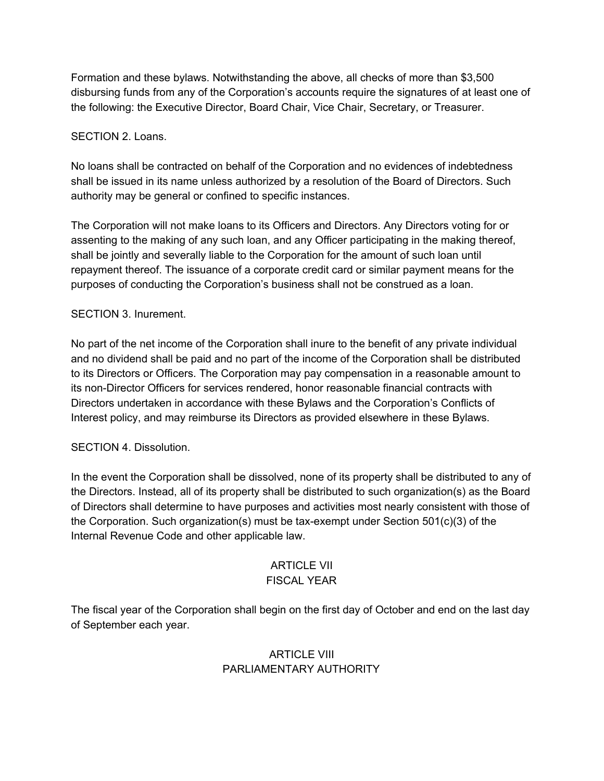Formation and these bylaws. Notwithstanding the above, all checks of more than \$3,500 disbursing funds from any of the Corporation's accounts require the signatures of at least one of the following: the Executive Director, Board Chair, Vice Chair, Secretary, or Treasurer.

## SECTION 2. Loans.

No loans shall be contracted on behalf of the Corporation and no evidences of indebtedness shall be issued in its name unless authorized by a resolution of the Board of Directors. Such authority may be general or confined to specific instances.

The Corporation will not make loans to its Officers and Directors. Any Directors voting for or assenting to the making of any such loan, and any Officer participating in the making thereof, shall be jointly and severally liable to the Corporation for the amount of such loan until repayment thereof. The issuance of a corporate credit card or similar payment means for the purposes of conducting the Corporation's business shall not be construed as a loan.

### SECTION 3. Inurement.

No part of the net income of the Corporation shall inure to the benefit of any private individual and no dividend shall be paid and no part of the income of the Corporation shall be distributed to its Directors or Officers. The Corporation may pay compensation in a reasonable amount to its non-Director Officers for services rendered, honor reasonable financial contracts with Directors undertaken in accordance with these Bylaws and the Corporation's Conflicts of Interest policy, and may reimburse its Directors as provided elsewhere in these Bylaws.

#### SECTION 4. Dissolution.

In the event the Corporation shall be dissolved, none of its property shall be distributed to any of the Directors. Instead, all of its property shall be distributed to such organization(s) as the Board of Directors shall determine to have purposes and activities most nearly consistent with those of the Corporation. Such organization(s) must be tax-exempt under Section 501(c)(3) of the Internal Revenue Code and other applicable law.

#### ARTICLE VII FISCAL YEAR

The fiscal year of the Corporation shall begin on the first day of October and end on the last day of September each year.

# ARTICLE VIII PARLIAMENTARY AUTHORITY